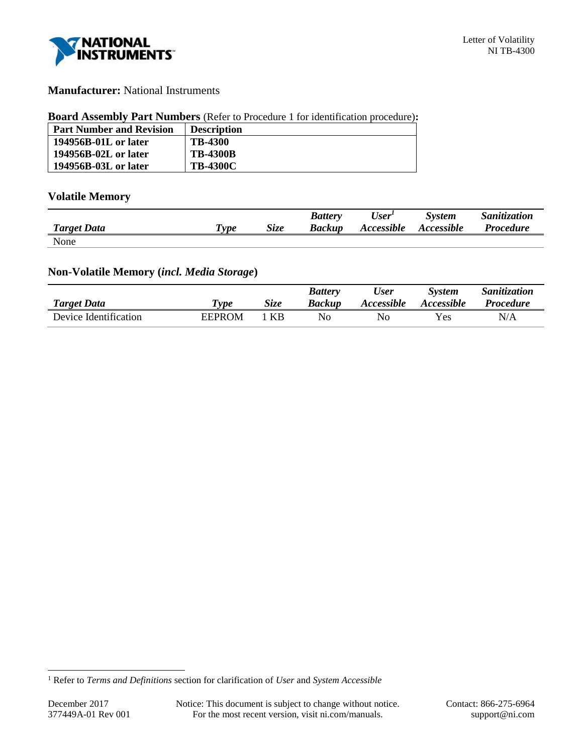

# **Manufacturer:** National Instruments

#### **Board Assembly Part Numbers** (Refer to Procedure 1 for identification procedure)**:**

| <b>Part Number and Revision</b> | <b>Description</b> |
|---------------------------------|--------------------|
| 194956B-01L or later            | <b>TB-4300</b>     |
| 194956B-02L or later            | <b>TB-4300B</b>    |
| 194956B-03L or later            | <b>TB-4300C</b>    |

# **Volatile Memory**

|                    |                       |      | <b>Battery</b> | User <sup>1</sup> | <b>System</b>     | Sanitization     |
|--------------------|-----------------------|------|----------------|-------------------|-------------------|------------------|
| <b>Target Data</b> | $T$ <sub>V</sub> $pe$ | Size | <b>Backup</b>  | Accessible        | <b>Accessible</b> | <i>Procedure</i> |
| None               |                       |      |                |                   |                   |                  |

## **Non-Volatile Memory (***incl. Media Storage***)**

|                       |        |      | <b>Battery</b> | User              | <i>System</i>            | Sanitization |
|-----------------------|--------|------|----------------|-------------------|--------------------------|--------------|
| <b>Target Data</b>    | 'vpe   | Size | <b>Backup</b>  | <b>Accessible</b> | <i><b>Accessible</b></i> | Procedure    |
| Device Identification | EEPROM | KR   | No             | No                | Yes                      | N/A          |

l

<sup>1</sup> Refer to *Terms and Definitions* section for clarification of *User* and *System Accessible*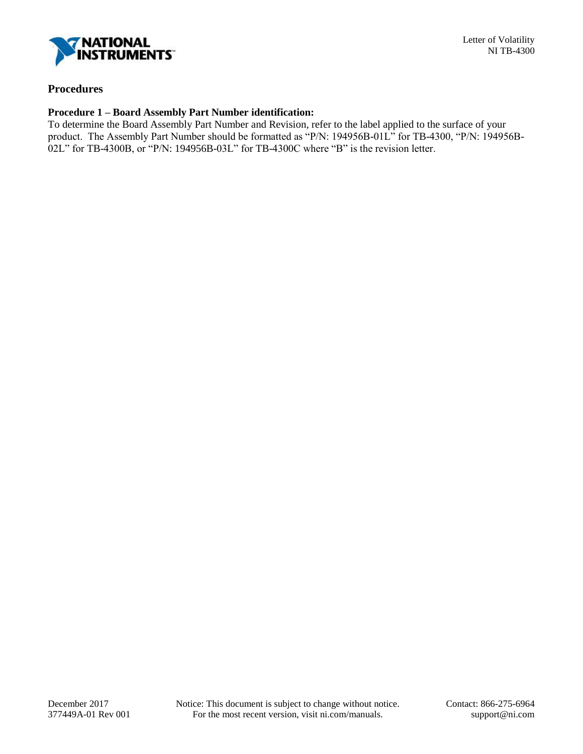

# **Procedures**

#### **Procedure 1 – Board Assembly Part Number identification:**

To determine the Board Assembly Part Number and Revision, refer to the label applied to the surface of your product. The Assembly Part Number should be formatted as "P/N: 194956B-01L" for TB-4300, "P/N: 194956B-02L" for TB-4300B, or "P/N: 194956B-03L" for TB-4300C where "B" is the revision letter.